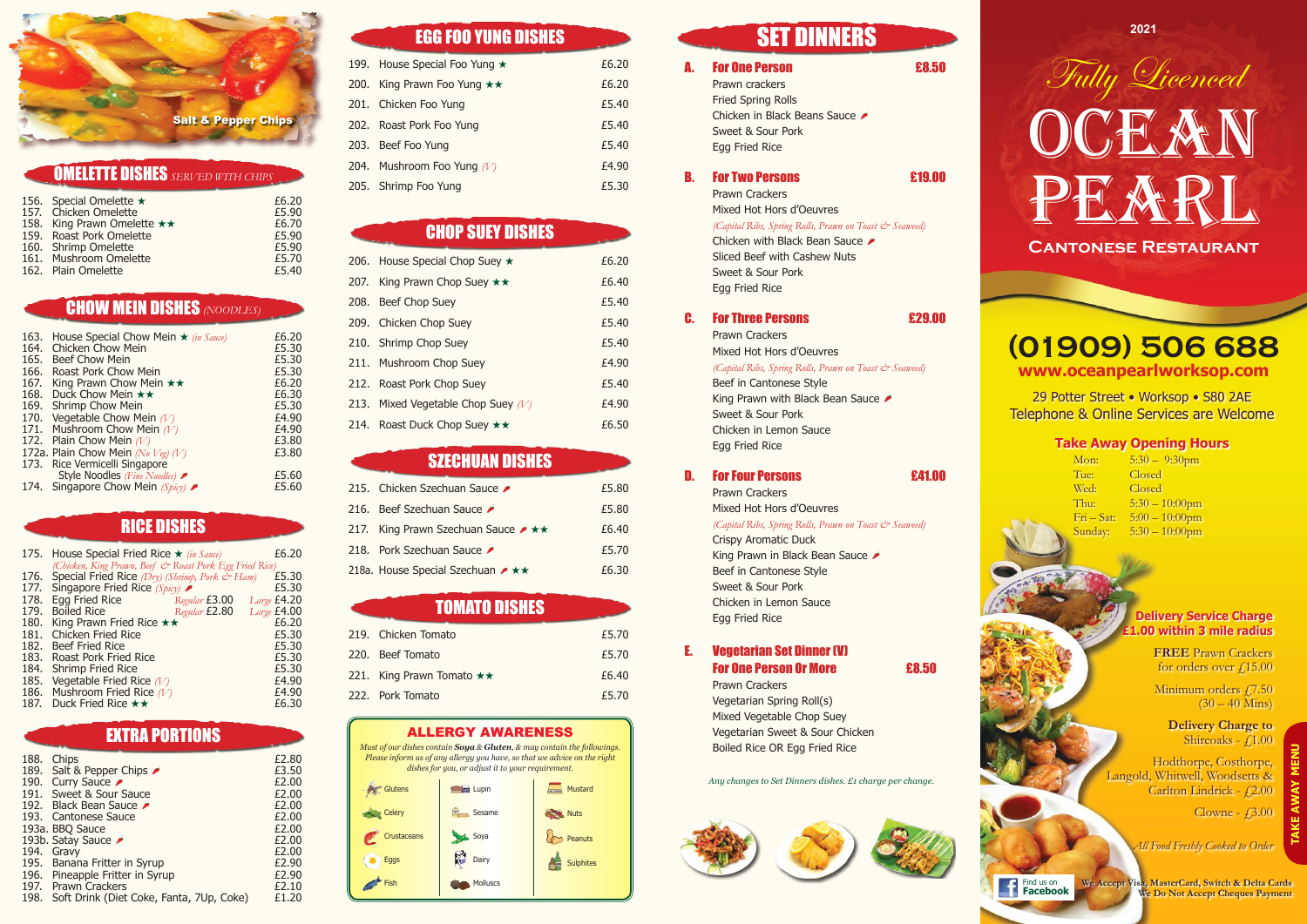|                             | £6.20                   |
|-----------------------------|-------------------------|
| 157. Chicken Omelette       | £5.90                   |
| 158. King Prawn Omelette ** | £6.70                   |
| 159. Roast Pork Omelette    | £5.90                   |
| 160. Shrimp Omelette        | £5.90                   |
| 161. Mushroom Omelette      | £5.70                   |
| 162. Plain Omelette         | £5.40                   |
|                             | 156. Special Omelette ★ |

|      | 175. House Special Fried Rice $\star$ (in Sauce)             | £6.20       |
|------|--------------------------------------------------------------|-------------|
|      | (Chicken, King Prawn, Beef & Roast Pork Egg Fried Rice)      |             |
|      | 176. Special Fried Rice $(Dry)$ (Shrimp, Pork $\bar{c}$ Ham) | £5.30       |
|      | 177. Singapore Fried Rice (Spicy)                            | £5.30       |
|      | 178. Egg Fried Rice<br>Regular <b>£3.00</b>                  | Large £4.20 |
|      | 179. Boiled Rice<br>Regular £2.80                            | Large £4.00 |
|      | 180. King Prawn Fried Rice $\star\star$                      | £6.20       |
| 181. | <b>Chicken Fried Rice</b>                                    | £5.30       |
|      | 182. Beef Fried Rice                                         | £5.30       |
|      | 183. Roast Pork Fried Rice                                   | £5.30       |
| 184. | <b>Shrimp Fried Rice</b>                                     | £5.30       |
|      | 185. Vegetable Fried Rice $(V)$                              | £4.90       |
|      | 186. Mushroom Fried Rice $(V)$                               | £4.90       |
|      | 187. Duck Fried Rice **                                      | £6.30       |

**FREE** Prawn Crackers for orders over  $\sqrt{15.00}$ 

Minimum orders £7.50  $(30 - 40)$  Mins)

**Delivery Charge to** Shireoaks -  $f1.00$ 

| 188. | Chips                                         | £2.80 |
|------|-----------------------------------------------|-------|
|      | 189. Salt & Pepper Chips                      | £3.50 |
|      | 190. Curry Sauce                              | £2.00 |
|      | 191. Sweet & Sour Sauce                       | £2.00 |
|      | 192. Black Bean Sauce                         | £2.00 |
|      | 193. Cantonese Sauce                          | £2.00 |
|      | 193a. BBQ Sauce                               | £2.00 |
|      | 193b. Satay Sauce                             | £2.00 |
|      | 194. Gravy                                    | £2.00 |
|      | 195. Banana Fritter in Syrup                  | £2.90 |
|      | 196. Pineapple Fritter in Syrup               | £2.90 |
|      | 197. Prawn Crackers                           | £2.10 |
|      | 198. Soft Drink (Diet Coke, Fanta, 7Up, Coke) | £1.20 |
|      |                                               |       |

# EGG FOO YUNG DISHES SET DINNERS

Hodthorpe, Costhorpe, Langold, Whitwell, Woodsetts & Carlton Lindrick - £2.00

| 199. House Special Foo Yung ★ | £6.20 |
|-------------------------------|-------|
| 200. King Prawn Foo Yung **   | £6.20 |
| 201. Chicken Foo Yung         | £5.40 |
| 202. Roast Pork Foo Yung      | £5.40 |
| 203. Beef Foo Yung            | £5.40 |
| 204. Mushroom Foo Yung $(V)$  | £4.90 |
| 205. Shrimp Foo Yung          | £5.30 |
|                               |       |

### E. Vegetarian Set Dinner (V) **For One Person Or More Example 1**

| 206. House Special Chop Suey $\star$    | £6.20 |
|-----------------------------------------|-------|
| 207. King Prawn Chop Suey **            | £6.40 |
| 208. Beef Chop Suey                     | £5.40 |
| 209. Chicken Chop Suey                  | £5.40 |
| 210. Shrimp Chop Suey                   | £5.40 |
| 211. Mushroom Chop Suey                 | £4.90 |
| 212. Roast Pork Chop Suey               | £5.40 |
| 213. Mixed Vegetable Chop Suey $(V)$    | £4.90 |
| 214. Roast Duck Chop Suey $\star \star$ | £6.50 |

### **SZECHUAN DISHES**

| 215. Chicken Szechuan Sauce                              | £5.80 |
|----------------------------------------------------------|-------|
| 216. Beef Szechuan Sauce                                 | £5.80 |
| 217. King Prawn Szechuan Sauce $\rightarrow \star \star$ | £6.40 |
| 218. Pork Szechuan Sauce                                 | £5.70 |
| 218a. House Special Szechuan $\rightarrow \star \star$   | £6.30 |

| 219. Chicken Tomato                 | £5.70 |
|-------------------------------------|-------|
| 220. Beef Tomato                    | £5.70 |
| 221. King Prawn Tomato $\star\star$ | £6.40 |
| 222. Pork Tomato                    | £5.70 |

**2021**



29 Potter Street • Worksop • S80 2AE Telephone & Online Services are Welcome

### **Take Away Opening Hours**

| Mon:                       | $5:30-$ |
|----------------------------|---------|
| Tue:                       | Closed  |
| Wed:                       | Closed  |
| Thu:                       | $5:30-$ |
| $\text{Fri} - \text{Sat:}$ | $5:00-$ |
| Sunday:                    | $5:30-$ |
|                            |         |

 $-9:30$ pm ed  $-10:00$ pm  $-10:00$ pm  $-10:00$ pm

### **Delivery Service Charge £1.00 within 3 mile radius**

Clowne - £3.00

*All Food Freshly Cooked to Order*

# **(01909) 506 688 www.oceanpearlworksop.com**

Prawn crackers Fried Spring Rolls Chicken in Black Beans Sauce Sweet & Sour Pork Egg Fried Rice

### **B.** For Two Persons **E19.00**

Prawn Crackers Mixed Hot Hors d'Oeuvres *(Capital Ribs, Spring Rolls, Prawn on Toast & Seaweed)* Chicken with Black Bean Sauce Sliced Beef with Cashew Nuts Sweet & Sour Pork Egg Fried Rice

### C. For Three Persons **629.00**

Prawn Crackers Mixed Hot Hors d'Oeuvres *(Capital Ribs, Spring Rolls, Prawn on Toast & Seaweed)* Beef in Cantonese Style King Prawn with Black Bean Sauce Sweet & Sour Pork Chicken in Lemon Sauce Egg Fried Rice

### D. For Four Persons **E41.00**

Prawn Crackers Mixed Hot Hors d'Oeuvres *(Capital Ribs, Spring Rolls, Prawn on Toast & Seaweed)* Crispy Aromatic Duck King Prawn in Black Bean Sauce Beef in Cantonese Style Sweet & Sour Pork Chicken in Lemon Sauce Egg Fried Rice

Prawn Crackers Vegetarian Spring Roll(s) Mixed Vegetable Chop Suey Vegetarian Sweet & Sour Chicken Boiled Rice OR Egg Fried Rice

*Any changes to Set Dinners dishes. £1 charge per change.*









**Facebook We Accept Visa, MasterCard, Switch & Delta Cards We Do Not Accept Cheques Payment**

### ALLERGY AWARENESS

*Must of our dishes contain Soya & Gluten, & may contain the followings. Please inform us of any allergy you have, so that we advice on the right dishes for you, or adjust it to your requirement.* 



### A. For One Person **A. 28.50**

# Omelette Dishes *Served with Chips*

# Chow Mein Dishes *(Noodles)*

| 163. | House Special Chow Mein $\star$ (in Sauce) | £6.20 |
|------|--------------------------------------------|-------|
| 164. | <b>Chicken Chow Mein</b>                   | £5.30 |
| 165. | Beef Chow Mein                             | £5.30 |
| 166. | Roast Pork Chow Mein                       | £5.30 |
| 167. | King Prawn Chow Mein $\star\star$          | £6.20 |
| 168. | Duck Chow Mein **                          | £6.30 |
| 169. | <b>Shrimp Chow Mein</b>                    | £5.30 |
| 170. | Vegetable Chow Mein $(V)$                  | £4.90 |
|      | 171. Mushroom Chow Mein $(V)$              | £4.90 |
|      | 172. Plain Chow Mein $(V)$                 | £3.80 |
|      | 172a. Plain Chow Mein (No Veg) (V)         | £3.80 |
|      | 173. Rice Vermicelli Singapore             |       |
|      | Style Noodles (Fine Noodles)               | £5.60 |
|      | 174. Singapore Chow Mein $(Spixy)$         | £5.60 |
|      |                                            |       |

## Chop Suey Dishes

### Tomato Dishes

### Rice Dishes

# Extra Portions